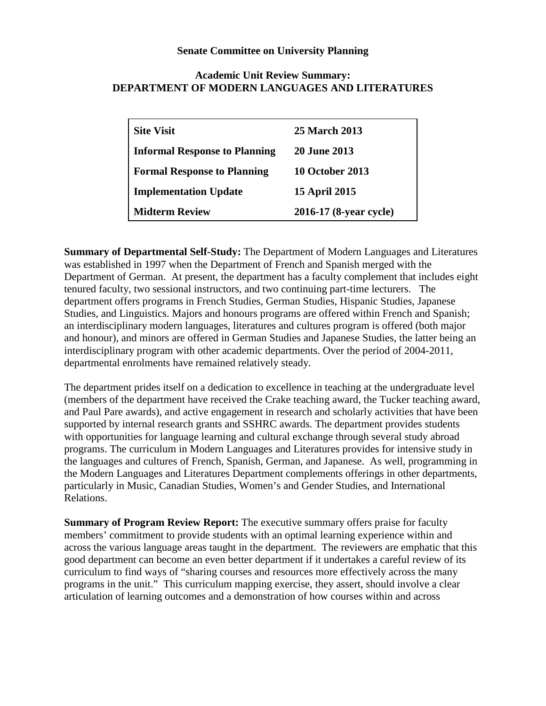## **Senate Committee on University Planning**

## **Academic Unit Review Summary: DEPARTMENT OF MODERN LANGUAGES AND LITERATURES**

| <b>Site Visit</b>                    | 25 March 2013          |
|--------------------------------------|------------------------|
| <b>Informal Response to Planning</b> | <b>20 June 2013</b>    |
| <b>Formal Response to Planning</b>   | 10 October 2013        |
| <b>Implementation Update</b>         | <b>15 April 2015</b>   |
| <b>Midterm Review</b>                | 2016-17 (8-year cycle) |

**Summary of Departmental Self-Study:** The Department of Modern Languages and Literatures was established in 1997 when the Department of French and Spanish merged with the Department of German. At present, the department has a faculty complement that includes eight tenured faculty, two sessional instructors, and two continuing part-time lecturers. The department offers programs in French Studies, German Studies, Hispanic Studies, Japanese Studies, and Linguistics. Majors and honours programs are offered within French and Spanish; an interdisciplinary modern languages, literatures and cultures program is offered (both major and honour), and minors are offered in German Studies and Japanese Studies, the latter being an interdisciplinary program with other academic departments. Over the period of 2004-2011, departmental enrolments have remained relatively steady.

The department prides itself on a dedication to excellence in teaching at the undergraduate level (members of the department have received the Crake teaching award, the Tucker teaching award, and Paul Pare awards), and active engagement in research and scholarly activities that have been supported by internal research grants and SSHRC awards. The department provides students with opportunities for language learning and cultural exchange through several study abroad programs. The curriculum in Modern Languages and Literatures provides for intensive study in the languages and cultures of French, Spanish, German, and Japanese. As well, programming in the Modern Languages and Literatures Department complements offerings in other departments, particularly in Music, Canadian Studies, Women's and Gender Studies, and International Relations.

**Summary of Program Review Report:** The executive summary offers praise for faculty members' commitment to provide students with an optimal learning experience within and across the various language areas taught in the department. The reviewers are emphatic that this good department can become an even better department if it undertakes a careful review of its curriculum to find ways of "sharing courses and resources more effectively across the many programs in the unit." This curriculum mapping exercise, they assert, should involve a clear articulation of learning outcomes and a demonstration of how courses within and across